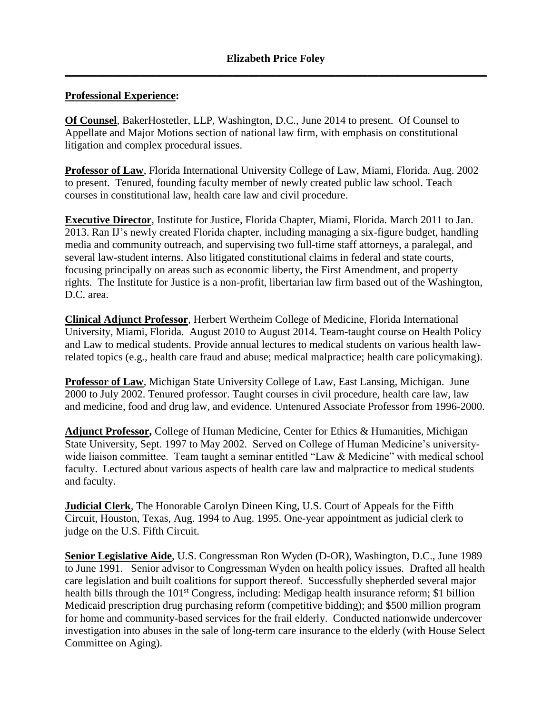#### **Professional Experience:**

**Of Counsel**, BakerHostetler, LLP, Washington, D.C., June 2014 to present. Of Counsel to Appellate and Major Motions section of national law firm, with emphasis on constitutional litigation and complex procedural issues.

**Professor of Law**, Florida International University College of Law, Miami, Florida. Aug. 2002 to present. Tenured, founding faculty member of newly created public law school. Teach courses in constitutional law, health care law and civil procedure.

**Executive Director**, Institute for Justice, Florida Chapter, Miami, Florida. March 2011 to Jan. 2013. Ran IJ's newly created Florida chapter, including managing a six-figure budget, handling media and community outreach, and supervising two full-time staff attorneys, a paralegal, and several law-student interns. Also litigated constitutional claims in federal and state courts, focusing principally on areas such as economic liberty, the First Amendment, and property rights. The Institute for Justice is a non-profit, libertarian law firm based out of the Washington, D.C. area.

**Clinical Adjunct Professor**, Herbert Wertheim College of Medicine, Florida International University, Miami, Florida. August 2010 to August 2014. Team-taught course on Health Policy and Law to medical students. Provide annual lectures to medical students on various health lawrelated topics (e.g., health care fraud and abuse; medical malpractice; health care policymaking).

**Professor of Law**, Michigan State University College of Law, East Lansing, Michigan. June 2000 to July 2002. Tenured professor. Taught courses in civil procedure, health care law, law and medicine, food and drug law, and evidence. Untenured Associate Professor from 1996-2000.

**Adjunct Professor,** College of Human Medicine, Center for Ethics & Humanities, Michigan State University*,* Sept. 1997 to May 2002. Served on College of Human Medicine's universitywide liaison committee. Team taught a seminar entitled "Law & Medicine" with medical school faculty. Lectured about various aspects of health care law and malpractice to medical students and faculty.

**Judicial Clerk**, The Honorable Carolyn Dineen King, U.S. Court of Appeals for the Fifth Circuit, Houston, Texas, Aug. 1994 to Aug. 1995. One-year appointment as judicial clerk to judge on the U.S. Fifth Circuit.

**Senior Legislative Aide**, U.S. Congressman Ron Wyden (D-OR), Washington, D.C., June 1989 to June 1991. Senior advisor to Congressman Wyden on health policy issues. Drafted all health care legislation and built coalitions for support thereof. Successfully shepherded several major health bills through the 101<sup>st</sup> Congress, including: Medigap health insurance reform; \$1 billion Medicaid prescription drug purchasing reform (competitive bidding); and \$500 million program for home and community-based services for the frail elderly. Conducted nationwide undercover investigation into abuses in the sale of long-term care insurance to the elderly (with House Select Committee on Aging).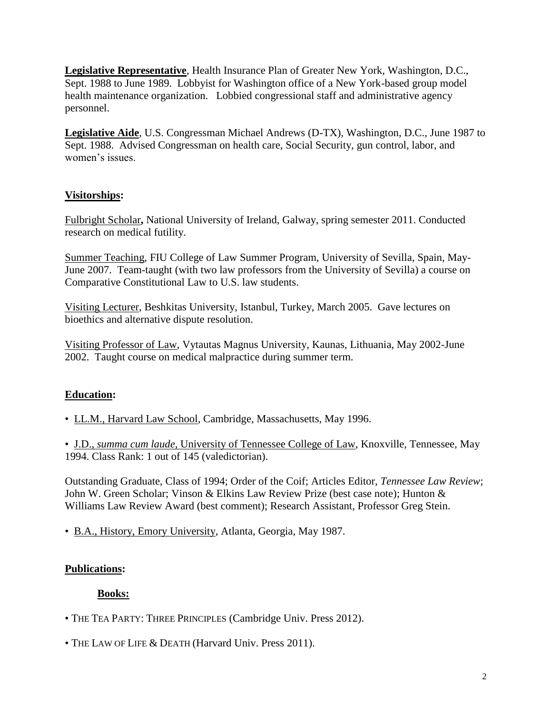**Legislative Representative**, Health Insurance Plan of Greater New York*,* Washington, D.C., Sept. 1988 to June 1989. Lobbyist for Washington office of a New York-based group model health maintenance organization. Lobbied congressional staff and administrative agency personnel.

**Legislative Aide**, U.S. Congressman Michael Andrews (D-TX)*,* Washington, D.C., June 1987 to Sept. 1988. Advised Congressman on health care, Social Security, gun control, labor, and women's issues.

# **Visitorships:**

Fulbright Scholar**,** National University of Ireland, Galway, spring semester 2011. Conducted research on medical futility.

Summer Teaching, FIU College of Law Summer Program, University of Sevilla, Spain, May-June 2007. Team-taught (with two law professors from the University of Sevilla) a course on Comparative Constitutional Law to U.S. law students.

Visiting Lecturer, Beshkitas University, Istanbul, Turkey, March 2005. Gave lectures on bioethics and alternative dispute resolution.

Visiting Professor of Law, Vytautas Magnus University, Kaunas, Lithuania, May 2002-June 2002. Taught course on medical malpractice during summer term.

# **Education:**

• LL.M., Harvard Law School, Cambridge, Massachusetts, May 1996.

• J.D., *summa cum laude*, University of Tennessee College of Law, Knoxville, Tennessee, May 1994. Class Rank: 1 out of 145 (valedictorian).

Outstanding Graduate, Class of 1994; Order of the Coif; Articles Editor, *Tennessee Law Review*; John W. Green Scholar; Vinson & Elkins Law Review Prize (best case note); Hunton & Williams Law Review Award (best comment); Research Assistant, Professor Greg Stein.

• B.A., History, Emory University, Atlanta, Georgia, May 1987.

# **Publications:**

# **Books:**

- THE TEA PARTY: THREE PRINCIPLES (Cambridge Univ. Press 2012).
- THE LAW OF LIFE & DEATH (Harvard Univ. Press 2011).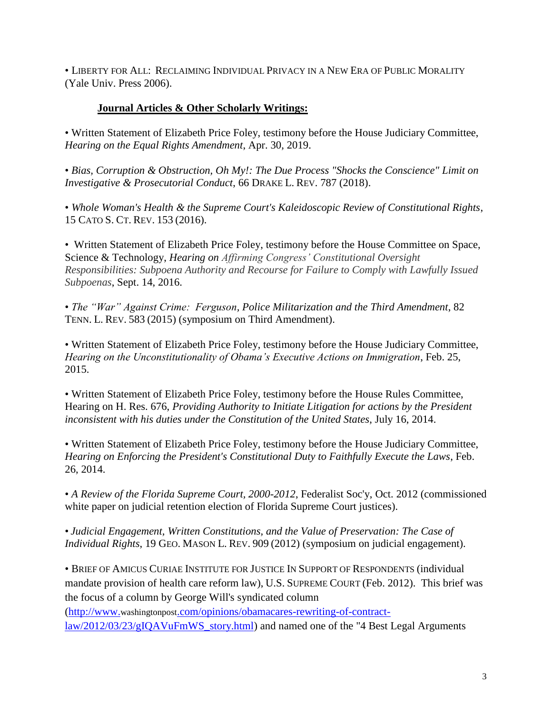• LIBERTY FOR ALL: RECLAIMING INDIVIDUAL PRIVACY IN A NEW ERA OF PUBLIC MORALITY (Yale Univ. Press 2006).

### **Journal Articles & Other Scholarly Writings:**

• Written Statement of Elizabeth Price Foley, testimony before the House Judiciary Committee, *Hearing on the Equal Rights Amendment*, Apr. 30, 2019.

• *Bias, Corruption & Obstruction, Oh My!: The Due Process "Shocks the Conscience" Limit on Investigative & Prosecutorial Conduct*, 66 DRAKE L. REV. 787 (2018).

• *Whole Woman's Health & the Supreme Court's Kaleidoscopic Review of Constitutional Rights*, 15 CATO S. CT. REV. 153 (2016).

• Written Statement of Elizabeth Price Foley, testimony before the House Committee on Space, Science & Technology, *Hearing on Affirming Congress' Constitutional Oversight Responsibilities: Subpoena Authority and Recourse for Failure to Comply with Lawfully Issued Subpoenas*, Sept. 14, 2016.

• *The "War" Against Crime: Ferguson, Police Militarization and the Third Amendment*, 82 TENN. L. REV. 583 (2015) (symposium on Third Amendment).

• Written Statement of Elizabeth Price Foley, testimony before the House Judiciary Committee, *Hearing on the Unconstitutionality of Obama's Executive Actions on Immigration*, Feb. 25, 2015.

• Written Statement of Elizabeth Price Foley, testimony before the House Rules Committee, Hearing on H. Res. 676, *Providing Authority to Initiate Litigation for actions by the President inconsistent with his duties under the Constitution of the United States*, July 16, 2014.

• Written Statement of Elizabeth Price Foley, testimony before the House Judiciary Committee, *Hearing on Enforcing the President's Constitutional Duty to Faithfully Execute the Laws*, Feb. 26, 2014.

• *A Review of the Florida Supreme Court, 2000-2012*, Federalist Soc'y, Oct. 2012 (commissioned white paper on judicial retention election of Florida Supreme Court justices).

• *Judicial Engagement, Written Constitutions, and the Value of Preservation: The Case of Individual Rights*, 19 GEO. MASON L. REV. 909 (2012) (symposium on judicial engagement).

• BRIEF OF AMICUS CURIAE INSTITUTE FOR JUSTICE IN SUPPORT OF RESPONDENTS (individual mandate provision of health care reform law), U.S. SUPREME COURT (Feb. 2012). This brief was the focus of a column by George Will's syndicated column

(http://www.washingtonpost[.com/opinions/obamacares-rewriting-of-contract](http://www.washingtonpost.com/opinions/obamacares-rewriting-of-contract-law/2012/03/23/gIQAVuFmWS_story.html)[law/2012/03/23/gIQAVuFmWS\\_story.html\)](http://www.washingtonpost.com/opinions/obamacares-rewriting-of-contract-law/2012/03/23/gIQAVuFmWS_story.html) and named one of the "4 Best Legal Arguments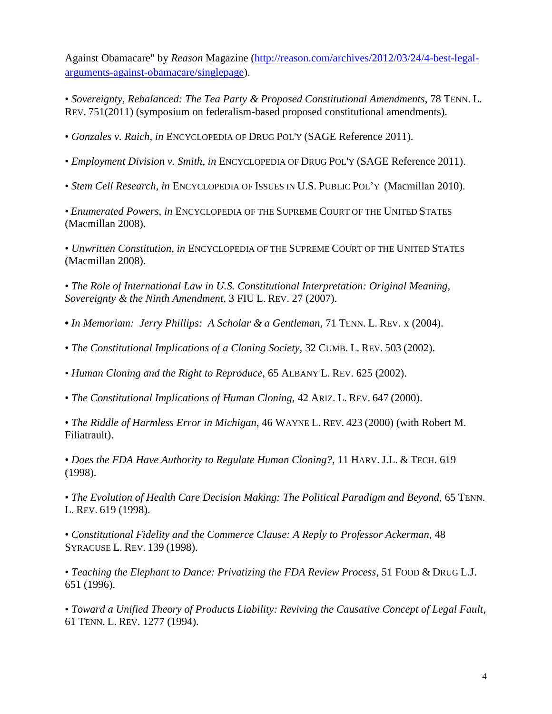Against Obamacare" by *Reason* Magazine [\(http://reason.com/archives/2012/03/24/4-best-legal](http://reason.com/archives/2012/03/24/4-best-legal-arguments-against-obamacare/singlepage)[arguments-against-obamacare/singlepage\)](http://reason.com/archives/2012/03/24/4-best-legal-arguments-against-obamacare/singlepage).

• *Sovereignty, Rebalanced: The Tea Party & Proposed Constitutional Amendments*, 78 TENN. L. REV. 751(2011) (symposium on federalism-based proposed constitutional amendments).

• *Gonzales v. Raich*, *in* ENCYCLOPEDIA OF DRUG POL'Y (SAGE Reference 2011).

• *Employment Division v. Smith*, *in* ENCYCLOPEDIA OF DRUG POL'Y (SAGE Reference 2011).

• *Stem Cell Research, in* ENCYCLOPEDIA OF ISSUES IN U.S. PUBLIC POL'Y (Macmillan 2010).

• *Enumerated Powers, in* ENCYCLOPEDIA OF THE SUPREME COURT OF THE UNITED STATES (Macmillan 2008).

• *Unwritten Constitution, in* ENCYCLOPEDIA OF THE SUPREME COURT OF THE UNITED STATES (Macmillan 2008).

• *The Role of International Law in U.S. Constitutional Interpretation: Original Meaning, Sovereignty & the Ninth Amendment*, 3 FIU L. REV. 27 (2007).

- *In Memoriam: Jerry Phillips: A Scholar & a Gentleman*, 71 TENN. L. REV. x (2004).
- *The Constitutional Implications of a Cloning Society,* 32 CUMB. L. REV. 503 (2002).

• *Human Cloning and the Right to Reproduce,* 65 ALBANY L. REV. 625 (2002).

• *The Constitutional Implications of Human Cloning,* 42 ARIZ. L. REV. 647 (2000).

• *The Riddle of Harmless Error in Michigan*, 46 WAYNE L. REV. 423 (2000) (with Robert M. Filiatrault).

• *Does the FDA Have Authority to Regulate Human Cloning?,* 11 HARV.J.L. & TECH. 619 (1998).

• *The Evolution of Health Care Decision Making: The Political Paradigm and Beyond*, 65 TENN. L. REV. 619 (1998).

• *Constitutional Fidelity and the Commerce Clause: A Reply to Professor Ackerman,* 48 SYRACUSE L. REV. 139 (1998).

• Teaching the Elephant to Dance: Privatizing the FDA Review Process, 51 FOOD & DRUG L.J. 651 (1996).

• *Toward a Unified Theory of Products Liability: Reviving the Causative Concept of Legal Fault*, 61 TENN. L. REV. 1277 (1994).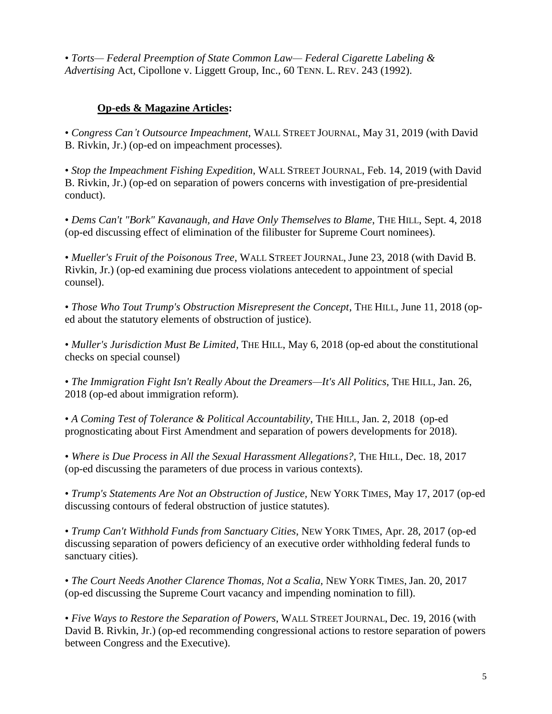• *Torts— Federal Preemption of State Common Law— Federal Cigarette Labeling & Advertising* Act, Cipollone v. Liggett Group, Inc., 60 TENN. L. REV. 243 (1992).

## **Op-eds & Magazine Articles:**

• *Congress Can't Outsource Impeachment,* WALL STREET JOURNAL, May 31, 2019 (with David B. Rivkin, Jr.) (op-ed on impeachment processes).

• *Stop the Impeachment Fishing Expedition*, WALL STREET JOURNAL, Feb. 14, 2019 (with David B. Rivkin, Jr.) (op-ed on separation of powers concerns with investigation of pre-presidential conduct).

• *Dems Can't "Bork" Kavanaugh, and Have Only Themselves to Blame*, THE HILL, Sept. 4, 2018 (op-ed discussing effect of elimination of the filibuster for Supreme Court nominees).

• *Mueller's Fruit of the Poisonous Tree*, WALL STREET JOURNAL, June 23, 2018 (with David B. Rivkin, Jr.) (op-ed examining due process violations antecedent to appointment of special counsel).

• *Those Who Tout Trump's Obstruction Misrepresent the Concept*, THE HILL, June 11, 2018 (oped about the statutory elements of obstruction of justice).

• *Muller's Jurisdiction Must Be Limited*, THE HILL, May 6, 2018 (op-ed about the constitutional checks on special counsel)

• *The Immigration Fight Isn't Really About the Dreamers—It's All Politics*, THE HILL, Jan. 26, 2018 (op-ed about immigration reform).

• *A Coming Test of Tolerance & Political Accountability*, THE HILL, Jan. 2, 2018 (op-ed prognosticating about First Amendment and separation of powers developments for 2018).

• *Where is Due Process in All the Sexual Harassment Allegations?,* THE HILL, Dec. 18, 2017 (op-ed discussing the parameters of due process in various contexts).

• *Trump's Statements Are Not an Obstruction of Justice,* NEW YORK TIMES, May 17, 2017 (op-ed discussing contours of federal obstruction of justice statutes).

• *Trump Can't Withhold Funds from Sanctuary Cities*, NEW YORK TIMES, Apr. 28, 2017 (op-ed discussing separation of powers deficiency of an executive order withholding federal funds to sanctuary cities).

• *The Court Needs Another Clarence Thomas, Not a Scalia,* NEW YORK TIMES, Jan. 20, 2017 (op-ed discussing the Supreme Court vacancy and impending nomination to fill).

• *Five Ways to Restore the Separation of Powers*, WALL STREET JOURNAL, Dec. 19, 2016 (with David B. Rivkin, Jr.) (op-ed recommending congressional actions to restore separation of powers between Congress and the Executive).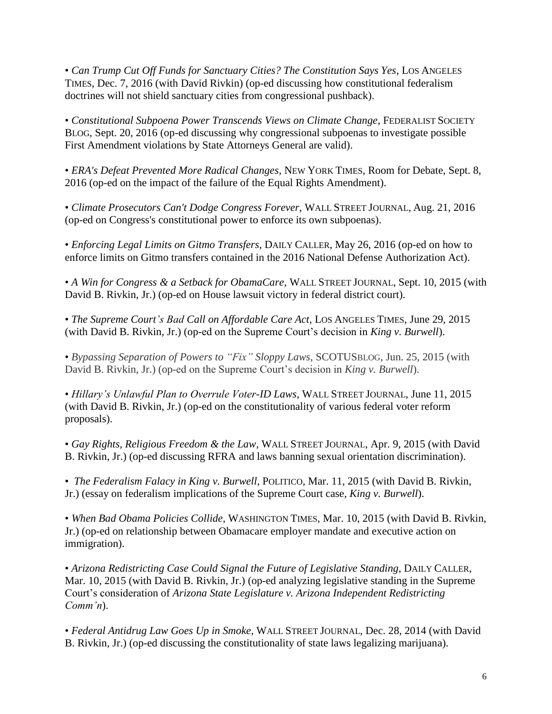• *Can Trump Cut Off Funds for Sanctuary Cities? The Constitution Says Yes*, LOS ANGELES TIMES, Dec. 7, 2016 (with David Rivkin) (op-ed discussing how constitutional federalism doctrines will not shield sanctuary cities from congressional pushback).

• *Constitutional Subpoena Power Transcends Views on Climate Change*, FEDERALIST SOCIETY BLOG, Sept. 20, 2016 (op-ed discussing why congressional subpoenas to investigate possible First Amendment violations by State Attorneys General are valid).

• *ERA's Defeat Prevented More Radical Changes*, NEW YORK TIMES, Room for Debate, Sept. 8, 2016 (op-ed on the impact of the failure of the Equal Rights Amendment).

• *Climate Prosecutors Can't Dodge Congress Forever*, WALL STREET JOURNAL*,* Aug. 21, 2016 (op-ed on Congress's constitutional power to enforce its own subpoenas).

• *Enforcing Legal Limits on Gitmo Transfers*, DAILY CALLER, May 26, 2016 (op-ed on how to enforce limits on Gitmo transfers contained in the 2016 National Defense Authorization Act).

• *A Win for Congress & a Setback for ObamaCare*, WALL STREET JOURNAL, Sept. 10, 2015 (with David B. Rivkin, Jr.) (op-ed on House lawsuit victory in federal district court).

• *The Supreme Court's Bad Call on Affordable Care Act*, LOS ANGELES TIMES, June 29, 2015 (with David B. Rivkin, Jr.) (op-ed on the Supreme Court's decision in *King v. Burwell*).

• *Bypassing Separation of Powers to "Fix" Sloppy Laws*, SCOTUSBLOG, Jun. 25, 2015 (with David B. Rivkin, Jr.) (op-ed on the Supreme Court's decision in *King v. Burwell*).

• *Hillary's Unlawful Plan to Overrule Voter-ID Laws*, WALL STREET JOURNAL, June 11, 2015 (with David B. Rivkin, Jr.) (op-ed on the constitutionality of various federal voter reform proposals).

• *Gay Rights, Religious Freedom & the Law*, WALL STREET JOURNAL, Apr. 9, 2015 (with David B. Rivkin, Jr.) (op-ed discussing RFRA and laws banning sexual orientation discrimination).

• *The Federalism Falacy in King v. Burwell*, POLITICO, Mar. 11, 2015 (with David B. Rivkin, Jr.) (essay on federalism implications of the Supreme Court case, *King v. Burwell*).

• *When Bad Obama Policies Collide*, WASHINGTON TIMES, Mar. 10, 2015 (with David B. Rivkin, Jr.) (op-ed on relationship between Obamacare employer mandate and executive action on immigration).

• *Arizona Redistricting Case Could Signal the Future of Legislative Standing*, DAILY CALLER, Mar. 10, 2015 (with David B. Rivkin, Jr.) (op-ed analyzing legislative standing in the Supreme Court's consideration of *Arizona State Legislature v. Arizona Independent Redistricting Comm'n*).

• *Federal Antidrug Law Goes Up in Smoke*, WALL STREET JOURNAL, Dec. 28, 2014 (with David B. Rivkin, Jr.) (op-ed discussing the constitutionality of state laws legalizing marijuana).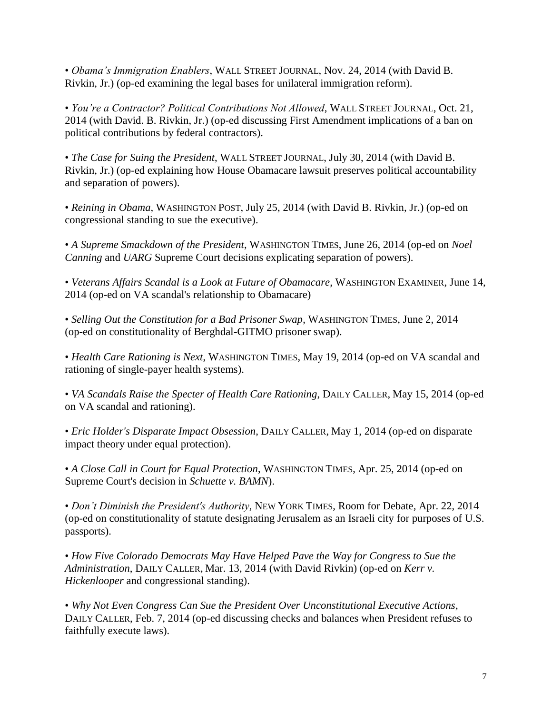• *Obama's Immigration Enablers*, WALL STREET JOURNAL, Nov. 24, 2014 (with David B. Rivkin, Jr.) (op-ed examining the legal bases for unilateral immigration reform).

• *You're a Contractor? Political Contributions Not Allowed*, WALL STREET JOURNAL, Oct. 21, 2014 (with David. B. Rivkin, Jr.) (op-ed discussing First Amendment implications of a ban on political contributions by federal contractors).

• *The Case for Suing the President*, WALL STREET JOURNAL, July 30, 2014 (with David B. Rivkin, Jr.) (op-ed explaining how House Obamacare lawsuit preserves political accountability and separation of powers).

• *Reining in Obama,* WASHINGTON POST, July 25, 2014 (with David B. Rivkin, Jr.) (op-ed on congressional standing to sue the executive).

• *A Supreme Smackdown of the President*, WASHINGTON TIMES, June 26, 2014 (op-ed on *Noel Canning* and *UARG* Supreme Court decisions explicating separation of powers).

• *Veterans Affairs Scandal is a Look at Future of Obamacare*, WASHINGTON EXAMINER, June 14, 2014 (op-ed on VA scandal's relationship to Obamacare)

• *Selling Out the Constitution for a Bad Prisoner Swap*, WASHINGTON TIMES, June 2, 2014 (op-ed on constitutionality of Berghdal-GITMO prisoner swap).

• *Health Care Rationing is Next*, WASHINGTON TIMES, May 19, 2014 (op-ed on VA scandal and rationing of single-payer health systems).

• *VA Scandals Raise the Specter of Health Care Rationing*, DAILY CALLER, May 15, 2014 (op-ed on VA scandal and rationing).

• *Eric Holder's Disparate Impact Obsession*, DAILY CALLER, May 1, 2014 (op-ed on disparate impact theory under equal protection).

• *A Close Call in Court for Equal Protection*, WASHINGTON TIMES, Apr. 25, 2014 (op-ed on Supreme Court's decision in *Schuette v. BAMN*).

• *Don't Diminish the President's Authority*, NEW YORK TIMES, Room for Debate, Apr. 22, 2014 (op-ed on constitutionality of statute designating Jerusalem as an Israeli city for purposes of U.S. passports).

• *How Five Colorado Democrats May Have Helped Pave the Way for Congress to Sue the Administration*, DAILY CALLER, Mar. 13, 2014 (with David Rivkin) (op-ed on *Kerr v. Hickenlooper* and congressional standing).

• *Why Not Even Congress Can Sue the President Over Unconstitutional Executive Actions*, DAILY CALLER, Feb. 7, 2014 (op-ed discussing checks and balances when President refuses to faithfully execute laws).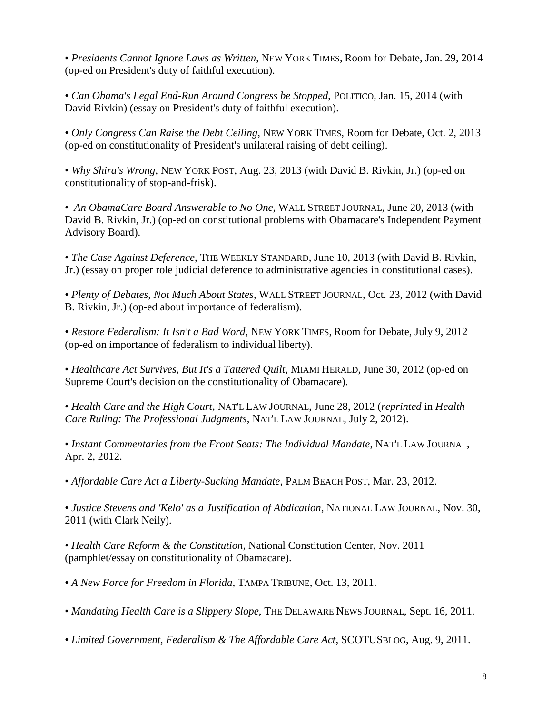• *Presidents Cannot Ignore Laws as Written*, NEW YORK TIMES, Room for Debate, Jan. 29, 2014 (op-ed on President's duty of faithful execution).

• *Can Obama's Legal End-Run Around Congress be Stopped*, POLITICO, Jan. 15, 2014 (with David Rivkin) (essay on President's duty of faithful execution).

• *Only Congress Can Raise the Debt Ceiling*, NEW YORK TIMES, Room for Debate, Oct. 2, 2013 (op-ed on constitutionality of President's unilateral raising of debt ceiling).

• *Why Shira's Wrong*, NEW YORK POST, Aug. 23, 2013 (with David B. Rivkin, Jr.) (op-ed on constitutionality of stop-and-frisk).

• *An ObamaCare Board Answerable to No One*, WALL STREET JOURNAL, June 20, 2013 (with David B. Rivkin, Jr.) (op-ed on constitutional problems with Obamacare's Independent Payment Advisory Board).

• *The Case Against Deference*, THE WEEKLY STANDARD, June 10, 2013 (with David B. Rivkin, Jr.) (essay on proper role judicial deference to administrative agencies in constitutional cases).

• *Plenty of Debates, Not Much About States*, WALL STREET JOURNAL, Oct. 23, 2012 (with David B. Rivkin, Jr.) (op-ed about importance of federalism).

• *Restore Federalism: It Isn't a Bad Word*, NEW YORK TIMES, Room for Debate, July 9, 2012 (op-ed on importance of federalism to individual liberty).

• *Healthcare Act Survives, But It's a Tattered Quilt*, MIAMI HERALD, June 30, 2012 (op-ed on Supreme Court's decision on the constitutionality of Obamacare).

• *Health Care and the High Court*, NAT'L LAW JOURNAL, June 28, 2012 (*reprinted* in *Health Care Ruling: The Professional Judgments*, NAT'L LAW JOURNAL, July 2, 2012).

• *Instant Commentaries from the Front Seats: The Individual Mandate*, NAT'L LAW JOURNAL, Apr. 2, 2012.

• *Affordable Care Act a Liberty-Sucking Mandate*, PALM BEACH POST, Mar. 23, 2012.

• *Justice Stevens and 'Kelo' as a Justification of Abdication*, NATIONAL LAW JOURNAL, Nov. 30, 2011 (with Clark Neily).

• *Health Care Reform & the Constitution*, National Constitution Center, Nov. 2011 (pamphlet/essay on constitutionality of Obamacare).

• *A New Force for Freedom in Florida*, TAMPA TRIBUNE, Oct. 13, 2011.

• *Mandating Health Care is a Slippery Slope*, THE DELAWARE NEWS JOURNAL, Sept. 16, 2011.

• *Limited Government, Federalism & The Affordable Care Act*, SCOTUSBLOG, Aug. 9, 2011.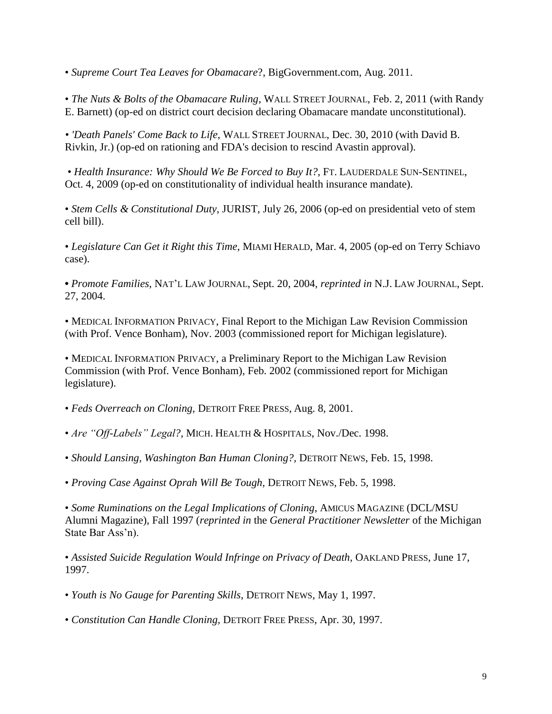• *Supreme Court Tea Leaves for Obamacare*?, BigGovernment.com, Aug. 2011.

• *[The Nuts & Bolts of the Obamacare Ruling](http://online.wsj.com/article/SB10001424052748703445904576117913097891574.html)*, WALL STREET JOURNAL, Feb. 2, 2011 (with Randy E. Barnett) (op-ed on district court decision declaring Obamacare mandate unconstitutional).

*• ['Death Panels' Come Back to Life](http://online.wsj.com/article/SB10001424052970203513204576047742746513406.html)*, WALL STREET JOURNAL, Dec. 30, 2010 (with David B. Rivkin, Jr.) (op-ed on rationing and FDA's decision to rescind Avastin approval).

• *Health Insurance: Why Should We Be Forced to Buy It?*, FT. LAUDERDALE SUN-SENTINEL, Oct. 4, 2009 (op-ed on constitutionality of individual health insurance mandate).

• *Stem Cells & Constitutional Duty,* JURIST, July 26, 2006 (op-ed on presidential veto of stem cell bill).

• *Legislature Can Get it Right this Time*, MIAMI HERALD, Mar. 4, 2005 (op-ed on Terry Schiavo case).

**•** *Promote Families*, NAT'L LAW JOURNAL, Sept. 20, 2004, *reprinted in* N.J. LAW JOURNAL, Sept. 27, 2004.

• MEDICAL INFORMATION PRIVACY, Final Report to the Michigan Law Revision Commission (with Prof. Vence Bonham), Nov. 2003 (commissioned report for Michigan legislature).

• MEDICAL INFORMATION PRIVACY, a Preliminary Report to the Michigan Law Revision Commission (with Prof. Vence Bonham), Feb. 2002 (commissioned report for Michigan legislature).

- *Feds Overreach on Cloning,* DETROIT FREE PRESS, Aug. 8, 2001.
- *Are "Off-Labels" Legal?,* MICH. HEALTH & HOSPITALS, Nov./Dec. 1998.
- *Should Lansing, Washington Ban Human Cloning?,* DETROIT NEWS, Feb. 15, 1998.
- *Proving Case Against Oprah Will Be Tough,* DETROIT NEWS, Feb. 5, 1998.

• *Some Ruminations on the Legal Implications of Cloning*, AMICUS MAGAZINE (DCL/MSU Alumni Magazine), Fall 1997 (*reprinted in* the *General Practitioner Newsletter* of the Michigan State Bar Ass'n).

• *Assisted Suicide Regulation Would Infringe on Privacy of Death, OAKLAND PRESS, June 17,* 1997.

- *Youth is No Gauge for Parenting Skills*, DETROIT NEWS, May 1, 1997.
- *Constitution Can Handle Cloning,* DETROIT FREE PRESS, Apr. 30, 1997.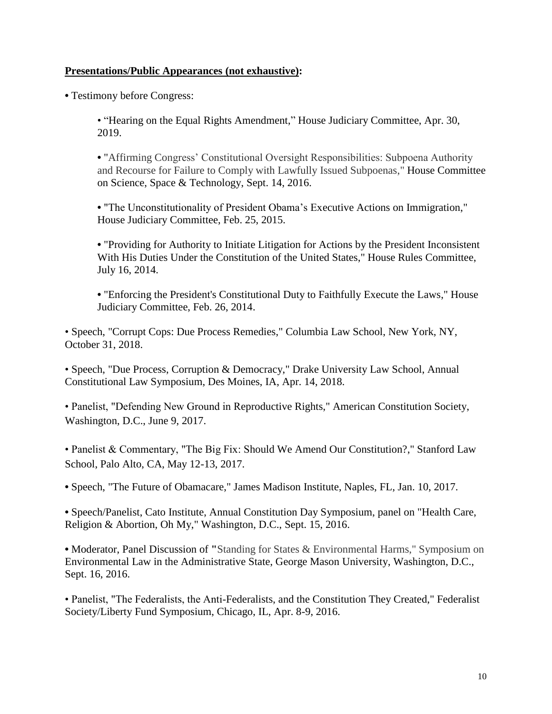#### **Presentations/Public Appearances (not exhaustive):**

**•** Testimony before Congress:

• "Hearing on the Equal Rights Amendment," House Judiciary Committee, Apr. 30, 2019.

**•** "Affirming Congress' Constitutional Oversight Responsibilities: Subpoena Authority and Recourse for Failure to Comply with Lawfully Issued Subpoenas," House Committee on Science, Space & Technology, Sept. 14, 2016.

**•** "The Unconstitutionality of President Obama's Executive Actions on Immigration," House Judiciary Committee, Feb. 25, 2015.

**•** "Providing for Authority to Initiate Litigation for Actions by the President Inconsistent With His Duties Under the Constitution of the United States," House Rules Committee, July 16, 2014.

**•** "Enforcing the President's Constitutional Duty to Faithfully Execute the Laws," House Judiciary Committee, Feb. 26, 2014.

• Speech, "Corrupt Cops: Due Process Remedies," Columbia Law School, New York, NY, October 31, 2018.

• Speech, "Due Process, Corruption & Democracy," Drake University Law School, Annual Constitutional Law Symposium, Des Moines, IA, Apr. 14, 2018.

• Panelist, "Defending New Ground in Reproductive Rights," American Constitution Society, Washington, D.C., June 9, 2017.

• Panelist & Commentary, "The Big Fix: Should We Amend Our Constitution?," Stanford Law School, Palo Alto, CA, May 12-13, 2017.

**•** Speech, "The Future of Obamacare," James Madison Institute, Naples, FL, Jan. 10, 2017.

**•** Speech/Panelist, Cato Institute, Annual Constitution Day Symposium, panel on "Health Care, Religion & Abortion, Oh My," Washington, D.C., Sept. 15, 2016.

**•** Moderator, Panel Discussion of **"**Standing for States & Environmental Harms," Symposium on Environmental Law in the Administrative State, George Mason University, Washington, D.C., Sept. 16, 2016.

• Panelist, "The Federalists, the Anti-Federalists, and the Constitution They Created," Federalist Society/Liberty Fund Symposium, Chicago, IL, Apr. 8-9, 2016.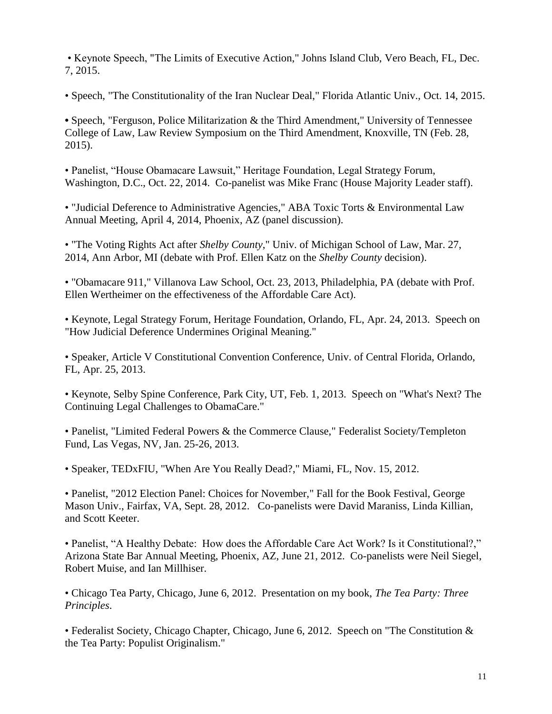• Keynote Speech, "The Limits of Executive Action," Johns Island Club, Vero Beach, FL, Dec. 7, 2015.

• Speech, "The Constitutionality of the Iran Nuclear Deal," Florida Atlantic Univ., Oct. 14, 2015.

• Speech, "Ferguson, Police Militarization & the Third Amendment," University of Tennessee College of Law, Law Review Symposium on the Third Amendment, Knoxville, TN (Feb. 28, 2015).

• Panelist, "House Obamacare Lawsuit," Heritage Foundation, Legal Strategy Forum, Washington, D.C., Oct. 22, 2014. Co-panelist was Mike Franc (House Majority Leader staff).

• "Judicial Deference to Administrative Agencies," ABA Toxic Torts & Environmental Law Annual Meeting, April 4, 2014, Phoenix, AZ (panel discussion).

• "The Voting Rights Act after *Shelby County*," Univ. of Michigan School of Law, Mar. 27, 2014, Ann Arbor, MI (debate with Prof. Ellen Katz on the *Shelby County* decision).

• "Obamacare 911," Villanova Law School, Oct. 23, 2013, Philadelphia, PA (debate with Prof. Ellen Wertheimer on the effectiveness of the Affordable Care Act).

• Keynote, Legal Strategy Forum, Heritage Foundation, Orlando, FL, Apr. 24, 2013. Speech on "How Judicial Deference Undermines Original Meaning."

• Speaker, Article V Constitutional Convention Conference, Univ. of Central Florida, Orlando, FL, Apr. 25, 2013.

• Keynote, Selby Spine Conference, Park City, UT, Feb. 1, 2013. Speech on "What's Next? The Continuing Legal Challenges to ObamaCare."

• Panelist, "Limited Federal Powers & the Commerce Clause," Federalist Society/Templeton Fund, Las Vegas, NV, Jan. 25-26, 2013.

• Speaker, TEDxFIU, "When Are You Really Dead?," Miami, FL, Nov. 15, 2012.

• Panelist, "2012 Election Panel: Choices for November," Fall for the Book Festival, George Mason Univ., Fairfax, VA, Sept. 28, 2012. Co-panelists were David Maraniss, Linda Killian, and Scott Keeter.

• Panelist, "A Healthy Debate: How does the Affordable Care Act Work? Is it Constitutional?," Arizona State Bar Annual Meeting, Phoenix, AZ, June 21, 2012. Co-panelists were Neil Siegel, Robert Muise, and Ian Millhiser.

• Chicago Tea Party, Chicago, June 6, 2012. Presentation on my book, *The Tea Party: Three Principles*.

• Federalist Society, Chicago Chapter, Chicago, June 6, 2012. Speech on "The Constitution & the Tea Party: Populist Originalism."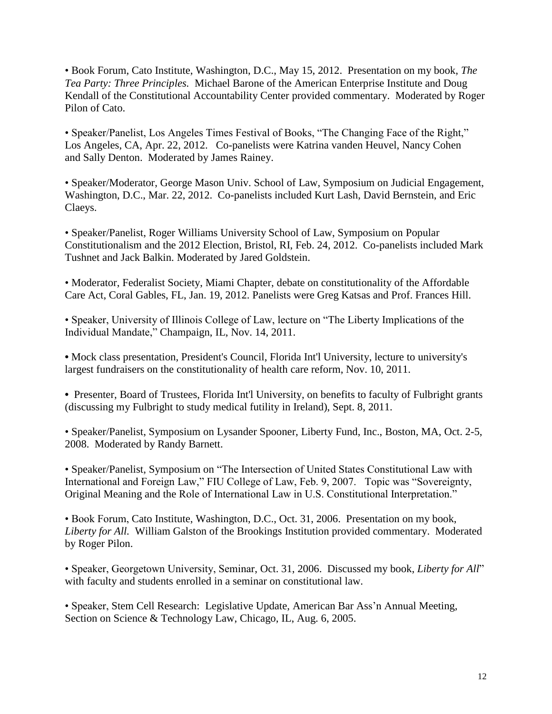• Book Forum, Cato Institute, Washington, D.C., May 15, 2012. Presentation on my book, *The Tea Party: Three Principles.* Michael Barone of the American Enterprise Institute and Doug Kendall of the Constitutional Accountability Center provided commentary. Moderated by Roger Pilon of Cato.

• Speaker/Panelist, Los Angeles Times Festival of Books, "The Changing Face of the Right," Los Angeles, CA, Apr. 22, 2012. Co-panelists were Katrina vanden Heuvel, Nancy Cohen and Sally Denton. Moderated by James Rainey.

• Speaker/Moderator, George Mason Univ. School of Law, Symposium on Judicial Engagement, Washington, D.C., Mar. 22, 2012. Co-panelists included Kurt Lash, David Bernstein, and Eric Claeys.

• Speaker/Panelist, Roger Williams University School of Law, Symposium on Popular Constitutionalism and the 2012 Election, Bristol, RI, Feb. 24, 2012. Co-panelists included Mark Tushnet and Jack Balkin. Moderated by Jared Goldstein.

• Moderator, Federalist Society, Miami Chapter, debate on constitutionality of the Affordable Care Act, Coral Gables, FL, Jan. 19, 2012. Panelists were Greg Katsas and Prof. Frances Hill.

• Speaker, University of Illinois College of Law, lecture on "The Liberty Implications of the Individual Mandate," Champaign, IL, Nov. 14, 2011.

**•** Mock class presentation, President's Council, Florida Int'l University, lecture to university's largest fundraisers on the constitutionality of health care reform, Nov. 10, 2011.

• Presenter, Board of Trustees, Florida Int'l University, on benefits to faculty of Fulbright grants (discussing my Fulbright to study medical futility in Ireland), Sept. 8, 2011.

• Speaker/Panelist, Symposium on Lysander Spooner, Liberty Fund, Inc., Boston, MA, Oct. 2-5, 2008. Moderated by Randy Barnett.

• Speaker/Panelist, Symposium on "The Intersection of United States Constitutional Law with International and Foreign Law," FIU College of Law, Feb. 9, 2007. Topic was "Sovereignty, Original Meaning and the Role of International Law in U.S. Constitutional Interpretation."

• Book Forum, Cato Institute, Washington, D.C., Oct. 31, 2006. Presentation on my book, *Liberty for All.* William Galston of the Brookings Institution provided commentary. Moderated by Roger Pilon.

• Speaker, Georgetown University, Seminar, Oct. 31, 2006. Discussed my book, *Liberty for All*" with faculty and students enrolled in a seminar on constitutional law.

• Speaker, Stem Cell Research: Legislative Update, American Bar Ass'n Annual Meeting, Section on Science & Technology Law, Chicago, IL, Aug. 6, 2005.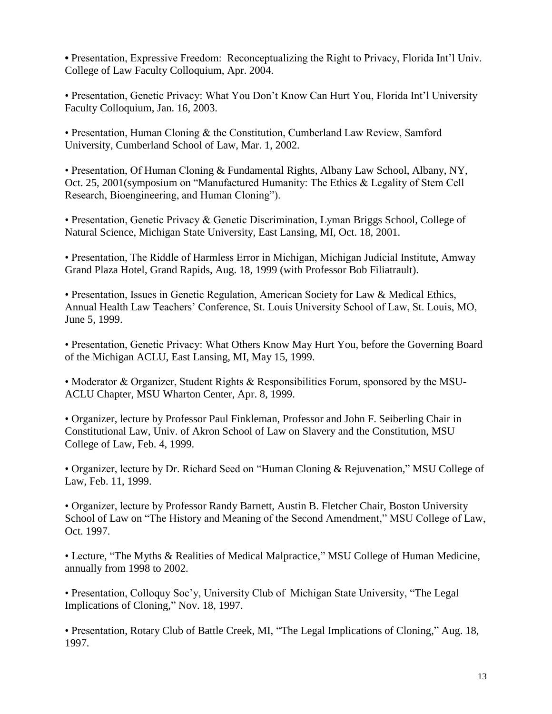**•** Presentation, Expressive Freedom: Reconceptualizing the Right to Privacy, Florida Int'l Univ. College of Law Faculty Colloquium, Apr. 2004.

• Presentation, Genetic Privacy: What You Don't Know Can Hurt You, Florida Int'l University Faculty Colloquium, Jan. 16, 2003.

• Presentation, Human Cloning & the Constitution, Cumberland Law Review, Samford University, Cumberland School of Law, Mar. 1, 2002.

• Presentation, Of Human Cloning & Fundamental Rights, Albany Law School, Albany, NY, Oct. 25, 2001(symposium on "Manufactured Humanity: The Ethics & Legality of Stem Cell Research, Bioengineering, and Human Cloning").

• Presentation, Genetic Privacy & Genetic Discrimination, Lyman Briggs School, College of Natural Science, Michigan State University, East Lansing, MI, Oct. 18, 2001.

• Presentation, The Riddle of Harmless Error in Michigan, Michigan Judicial Institute, Amway Grand Plaza Hotel, Grand Rapids, Aug. 18, 1999 (with Professor Bob Filiatrault).

• Presentation, Issues in Genetic Regulation, American Society for Law & Medical Ethics, Annual Health Law Teachers' Conference, St. Louis University School of Law, St. Louis, MO, June 5, 1999.

• Presentation, Genetic Privacy: What Others Know May Hurt You, before the Governing Board of the Michigan ACLU, East Lansing, MI, May 15, 1999.

• Moderator & Organizer, Student Rights & Responsibilities Forum, sponsored by the MSU-ACLU Chapter, MSU Wharton Center, Apr. 8, 1999.

• Organizer, lecture by Professor Paul Finkleman, Professor and John F. Seiberling Chair in Constitutional Law, Univ. of Akron School of Law on Slavery and the Constitution, MSU College of Law, Feb. 4, 1999.

• Organizer, lecture by Dr. Richard Seed on "Human Cloning & Rejuvenation," MSU College of Law, Feb. 11, 1999.

• Organizer, lecture by Professor Randy Barnett, Austin B. Fletcher Chair, Boston University School of Law on "The History and Meaning of the Second Amendment," MSU College of Law, Oct. 1997.

• Lecture, "The Myths & Realities of Medical Malpractice," MSU College of Human Medicine, annually from 1998 to 2002.

• Presentation, Colloquy Soc'y, University Club of Michigan State University, "The Legal Implications of Cloning," Nov. 18, 1997.

• Presentation, Rotary Club of Battle Creek, MI, "The Legal Implications of Cloning," Aug. 18, 1997.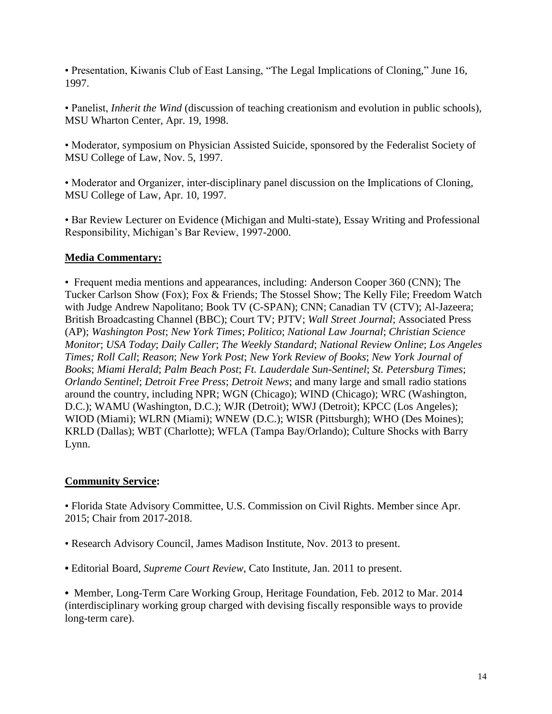• Presentation, Kiwanis Club of East Lansing, "The Legal Implications of Cloning," June 16, 1997.

• Panelist, *Inherit the Wind* (discussion of teaching creationism and evolution in public schools), MSU Wharton Center, Apr. 19, 1998.

• Moderator, symposium on Physician Assisted Suicide, sponsored by the Federalist Society of MSU College of Law, Nov. 5, 1997.

• Moderator and Organizer, inter-disciplinary panel discussion on the Implications of Cloning*,*  MSU College of Law, Apr. 10, 1997.

• Bar Review Lecturer on Evidence (Michigan and Multi-state), Essay Writing and Professional Responsibility, Michigan's Bar Review, 1997-2000.

### **Media Commentary:**

• Frequent media mentions and appearances, including: Anderson Cooper 360 (CNN); The Tucker Carlson Show (Fox); Fox & Friends; The Stossel Show; The Kelly File; Freedom Watch with Judge Andrew Napolitano; Book TV (C-SPAN); CNN; Canadian TV (CTV); Al-Jazeera; British Broadcasting Channel (BBC); Court TV; PJTV; *Wall Street Journal*; Associated Press (AP); *Washington Post*; *New York Times*; *Politico*; *National Law Journal*; *Christian Science Monitor*; *USA Today*; *Daily Caller*; *The Weekly Standard*; *National Review Online*; *Los Angeles Times; Roll Call*; *Reason*; *New York Post*; *New York Review of Books*; *New York Journal of Books*; *Miami Herald*; *Palm Beach Post*; *Ft. Lauderdale Sun-Sentinel*; *St. Petersburg Times*; *Orlando Sentinel*; *Detroit Free Press*; *Detroit News*; and many large and small radio stations around the country, including NPR; WGN (Chicago); WIND (Chicago); WRC (Washington, D.C.); WAMU (Washington, D.C.); WJR (Detroit); WWJ (Detroit); KPCC (Los Angeles); WIOD (Miami); WLRN (Miami); WNEW (D.C.); WISR (Pittsburgh); WHO (Des Moines); KRLD (Dallas); WBT (Charlotte); WFLA (Tampa Bay/Orlando); Culture Shocks with Barry Lynn.

# **Community Service:**

• Florida State Advisory Committee, U.S. Commission on Civil Rights. Member since Apr. 2015; Chair from 2017-2018.

- Research Advisory Council, James Madison Institute, Nov. 2013 to present.
- **•** Editorial Board, *Supreme Court Review*, Cato Institute, Jan. 2011 to present.

**•** Member, Long-Term Care Working Group, Heritage Foundation, Feb. 2012 to Mar. 2014 (interdisciplinary working group charged with devising fiscally responsible ways to provide long-term care).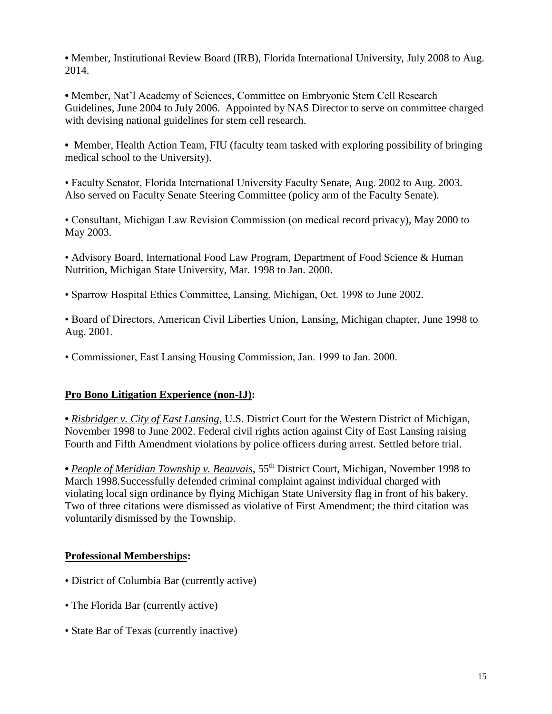**•** Member, Institutional Review Board (IRB), Florida International University, July 2008 to Aug. 2014.

**•** Member, Nat'l Academy of Sciences, Committee on Embryonic Stem Cell Research Guidelines, June 2004 to July 2006. Appointed by NAS Director to serve on committee charged with devising national guidelines for stem cell research.

• Member, Health Action Team, FIU (faculty team tasked with exploring possibility of bringing medical school to the University).

• Faculty Senator, Florida International University Faculty Senate, Aug. 2002 to Aug. 2003. Also served on Faculty Senate Steering Committee (policy arm of the Faculty Senate).

• Consultant, Michigan Law Revision Commission (on medical record privacy), May 2000 to May 2003.

• Advisory Board, International Food Law Program, Department of Food Science & Human Nutrition, Michigan State University, Mar. 1998 to Jan. 2000.

• Sparrow Hospital Ethics Committee, Lansing, Michigan, Oct. 1998 to June 2002.

• Board of Directors, American Civil Liberties Union, Lansing, Michigan chapter, June 1998 to Aug. 2001.

• Commissioner, East Lansing Housing Commission, Jan. 1999 to Jan. 2000.

#### **Pro Bono Litigation Experience (non-IJ):**

**•** *Risbridger v. City of East Lansing*, U.S. District Court for the Western District of Michigan, November 1998 to June 2002. Federal civil rights action against City of East Lansing raising Fourth and Fifth Amendment violations by police officers during arrest. Settled before trial.

• People of Meridian Township v. Beauvais, 55<sup>th</sup> District Court, Michigan, November 1998 to March 1998.Successfully defended criminal complaint against individual charged with violating local sign ordinance by flying Michigan State University flag in front of his bakery. Two of three citations were dismissed as violative of First Amendment; the third citation was voluntarily dismissed by the Township.

# **Professional Memberships:**

- District of Columbia Bar (currently active)
- The Florida Bar (currently active)
- State Bar of Texas (currently inactive)